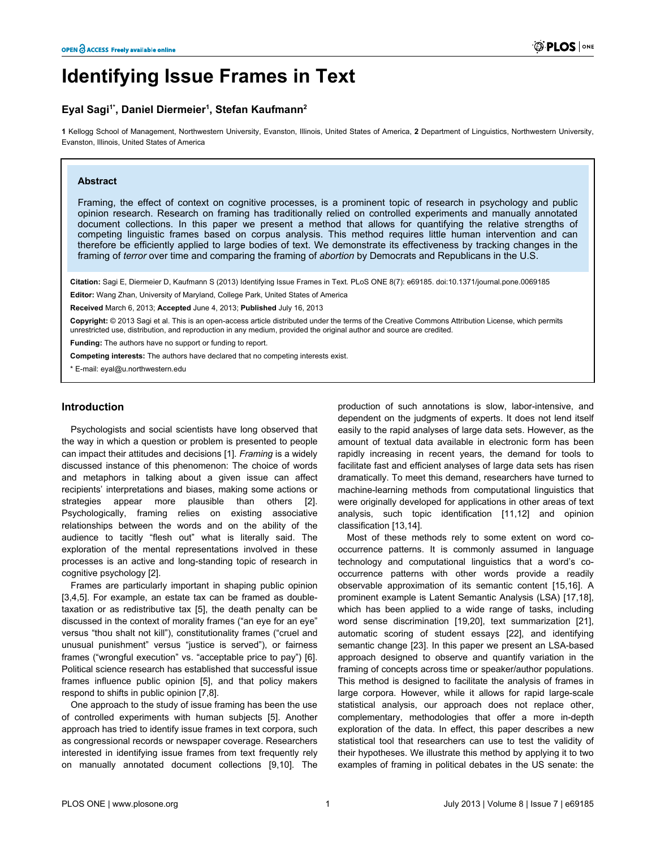# **Identifying Issue Frames in Text**

# **Eyal Sagi1\*, Daniel Diermeier<sup>1</sup> , Stefan Kaufmann<sup>2</sup>**

**1** Kellogg School of Management, Northwestern University, Evanston, Illinois, United States of America, **2** Department of Linguistics, Northwestern University, Evanston, Illinois, United States of America

## **Abstract**

Framing, the effect of context on cognitive processes, is a prominent topic of research in psychology and public opinion research. Research on framing has traditionally relied on controlled experiments and manually annotated document collections. In this paper we present a method that allows for quantifying the relative strengths of competing linguistic frames based on corpus analysis. This method requires little human intervention and can therefore be efficiently applied to large bodies of text. We demonstrate its effectiveness by tracking changes in the framing of *terror* over time and comparing the framing of *abortion* by Democrats and Republicans in the U.S.

**Citation:** Sagi E, Diermeier D, Kaufmann S (2013) Identifying Issue Frames in Text. PLoS ONE 8(7): e69185. doi:10.1371/journal.pone.0069185

**Editor:** Wang Zhan, University of Maryland, College Park, United States of America

**Received** March 6, 2013; **Accepted** June 4, 2013; **Published** July 16, 2013

**Copyright:** © 2013 Sagi et al. This is an open-access article distributed under the terms of the Creative Commons Attribution License, which permits unrestricted use, distribution, and reproduction in any medium, provided the original author and source are credited.

**Funding:** The authors have no support or funding to report.

**Competing interests:** The authors have declared that no competing interests exist.

\* E-mail: eyal@u.northwestern.edu

#### **Introduction**

Psychologists and social scientists have long observed that the way in which a question or problem is presented to people can impact their attitudes and decisions [[1](#page-7-0)]. *Framing* is a widely discussed instance of this phenomenon: The choice of words and metaphors in talking about a given issue can affect recipients' interpretations and biases, making some actions or strategies appear more plausible than others [\[2\]](#page-7-0). Psychologically, framing relies on existing associative relationships between the words and on the ability of the audience to tacitly "flesh out" what is literally said. The exploration of the mental representations involved in these processes is an active and long-standing topic of research in cognitive psychology [[2](#page-7-0)].

Frames are particularly important in shaping public opinion [[3,4,](#page-7-0)[5\]](#page-8-0). For example, an estate tax can be framed as doubletaxation or as redistributive tax [[5](#page-8-0)], the death penalty can be discussed in the context of morality frames ("an eye for an eye" versus "thou shalt not kill"), constitutionality frames ("cruel and unusual punishment" versus "justice is served"), or fairness frames ("wrongful execution" vs. "acceptable price to pay") [\[6\]](#page-8-0). Political science research has established that successful issue frames influence public opinion [\[5](#page-8-0)], and that policy makers respond to shifts in public opinion [\[7,8\]](#page-8-0).

One approach to the study of issue framing has been the use of controlled experiments with human subjects [\[5](#page-8-0)]. Another approach has tried to identify issue frames in text corpora, such as congressional records or newspaper coverage. Researchers interested in identifying issue frames from text frequently rely on manually annotated document collections [[9](#page-8-0),[10](#page-8-0)]. The

production of such annotations is slow, labor-intensive, and dependent on the judgments of experts. It does not lend itself easily to the rapid analyses of large data sets. However, as the amount of textual data available in electronic form has been rapidly increasing in recent years, the demand for tools to facilitate fast and efficient analyses of large data sets has risen dramatically. To meet this demand, researchers have turned to machine-learning methods from computational linguistics that were originally developed for applications in other areas of text analysis, such topic identification [[11](#page-8-0),[12](#page-8-0)] and opinion classification [\[13,14\]](#page-8-0).

Most of these methods rely to some extent on word cooccurrence patterns. It is commonly assumed in language technology and computational linguistics that a word's cooccurrence patterns with other words provide a readily observable approximation of its semantic content [\[15,16](#page-8-0)]. A prominent example is Latent Semantic Analysis (LSA) [\[17,18\]](#page-8-0), which has been applied to a wide range of tasks, including word sense discrimination [[19](#page-8-0),[20](#page-8-0)], text summarization [\[21\]](#page-8-0), automatic scoring of student essays [\[22\]](#page-8-0), and identifying semantic change [[23](#page-8-0)]. In this paper we present an LSA-based approach designed to observe and quantify variation in the framing of concepts across time or speaker/author populations. This method is designed to facilitate the analysis of frames in large corpora. However, while it allows for rapid large-scale statistical analysis, our approach does not replace other, complementary, methodologies that offer a more in-depth exploration of the data. In effect, this paper describes a new statistical tool that researchers can use to test the validity of their hypotheses. We illustrate this method by applying it to two examples of framing in political debates in the US senate: the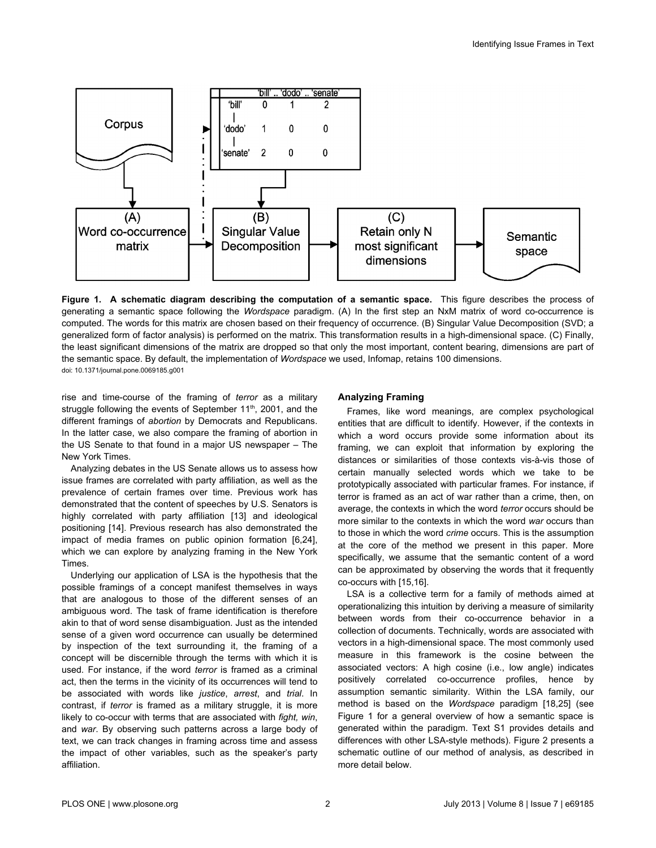

**Figure 1. A schematic diagram describing the computation of a semantic space.** This figure describes the process of generating a semantic space following the *Wordspace* paradigm. (A) In the first step an NxM matrix of word co-occurrence is computed. The words for this matrix are chosen based on their frequency of occurrence. (B) Singular Value Decomposition (SVD; a generalized form of factor analysis) is performed on the matrix. This transformation results in a high-dimensional space. (C) Finally, the least significant dimensions of the matrix are dropped so that only the most important, content bearing, dimensions are part of the semantic space. By default, the implementation of *Wordspace* we used, Infomap, retains 100 dimensions. doi: 10.1371/journal.pone.0069185.g001

rise and time-course of the framing of *terror* as a military struggle following the events of September 11<sup>th</sup>, 2001, and the different framings of *abortion* by Democrats and Republicans. In the latter case, we also compare the framing of abortion in the US Senate to that found in a major US newspaper – The New York Times.

Analyzing debates in the US Senate allows us to assess how issue frames are correlated with party affiliation, as well as the prevalence of certain frames over time. Previous work has demonstrated that the content of speeches by U.S. Senators is highly correlated with party affiliation [\[13\]](#page-8-0) and ideological positioning [[14](#page-8-0)]. Previous research has also demonstrated the impact of media frames on public opinion formation [\[6,24\]](#page-8-0), which we can explore by analyzing framing in the New York Times.

Underlying our application of LSA is the hypothesis that the possible framings of a concept manifest themselves in ways that are analogous to those of the different senses of an ambiguous word. The task of frame identification is therefore akin to that of word sense disambiguation. Just as the intended sense of a given word occurrence can usually be determined by inspection of the text surrounding it, the framing of a concept will be discernible through the terms with which it is used. For instance, if the word *terror* is framed as a criminal act, then the terms in the vicinity of its occurrences will tend to be associated with words like *justice*, *arrest*, and *trial*. In contrast, if *terror* is framed as a military struggle, it is more likely to co-occur with terms that are associated with *fight, win*, and *war*. By observing such patterns across a large body of text, we can track changes in framing across time and assess the impact of other variables, such as the speaker's party affiliation.

## **Analyzing Framing**

Frames, like word meanings, are complex psychological entities that are difficult to identify. However, if the contexts in which a word occurs provide some information about its framing, we can exploit that information by exploring the distances or similarities of those contexts vis-à-vis those of certain manually selected words which we take to be prototypically associated with particular frames. For instance, if terror is framed as an act of war rather than a crime, then, on average, the contexts in which the word *terror* occurs should be more similar to the contexts in which the word *war* occurs than to those in which the word *crime* occurs. This is the assumption at the core of the method we present in this paper. More specifically, we assume that the semantic content of a word can be approximated by observing the words that it frequently co-occurs with [[15,16\]](#page-8-0).

LSA is a collective term for a family of methods aimed at operationalizing this intuition by deriving a measure of similarity between words from their co-occurrence behavior in a collection of documents. Technically, words are associated with vectors in a high-dimensional space. The most commonly used measure in this framework is the cosine between the associated vectors: A high cosine (i.e., low angle) indicates positively correlated co-occurrence profiles, hence by assumption semantic similarity. Within the LSA family, our method is based on the *Wordspace* paradigm [\[18,25\]](#page-8-0) (see Figure 1 for a general overview of how a semantic space is generated within the paradigm. [Text S1](#page-7-0) provides details and differences with other LSA-style methods). [Figure 2](#page-2-0) presents a schematic outline of our method of analysis, as described in more detail below.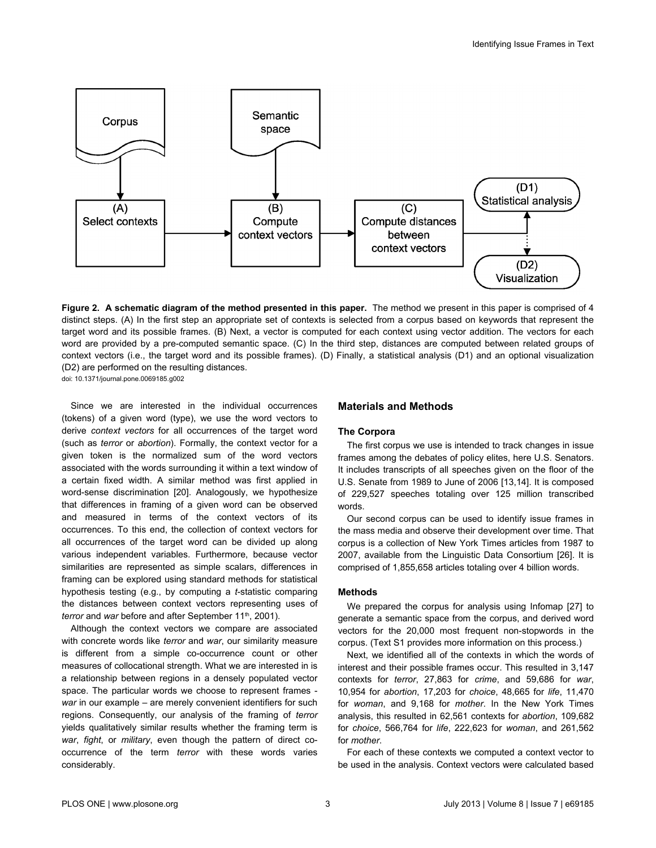<span id="page-2-0"></span>

**Figure 2. A schematic diagram of the method presented in this paper.** The method we present in this paper is comprised of 4 distinct steps. (A) In the first step an appropriate set of contexts is selected from a corpus based on keywords that represent the target word and its possible frames. (B) Next, a vector is computed for each context using vector addition. The vectors for each word are provided by a pre-computed semantic space. (C) In the third step, distances are computed between related groups of context vectors (i.e., the target word and its possible frames). (D) Finally, a statistical analysis (D1) and an optional visualization (D2) are performed on the resulting distances. doi: 10.1371/journal.pone.0069185.g002

Since we are interested in the individual occurrences (tokens) of a given word (type), we use the word vectors to derive *context vectors* for all occurrences of the target word (such as *terror* or *abortion*). Formally, the context vector for a given token is the normalized sum of the word vectors associated with the words surrounding it within a text window of a certain fixed width. A similar method was first applied in word-sense discrimination [\[20\]](#page-8-0). Analogously, we hypothesize that differences in framing of a given word can be observed and measured in terms of the context vectors of its occurrences. To this end, the collection of context vectors for all occurrences of the target word can be divided up along various independent variables. Furthermore, because vector similarities are represented as simple scalars, differences in framing can be explored using standard methods for statistical hypothesis testing (e.g., by computing a *t*-statistic comparing the distances between context vectors representing uses of *terror* and *war* before and after September 11<sup>th</sup>, 2001).

Although the context vectors we compare are associated with concrete words like *terror* and *war*, our similarity measure is different from a simple co-occurrence count or other measures of collocational strength. What we are interested in is a relationship between regions in a densely populated vector space. The particular words we choose to represent frames *war* in our example – are merely convenient identifiers for such regions. Consequently, our analysis of the framing of *terror* yields qualitatively similar results whether the framing term is *war*, *fight*, or *military*, even though the pattern of direct cooccurrence of the term *terror* with these words varies considerably.

## **Materials and Methods**

#### **The Corpora**

The first corpus we use is intended to track changes in issue frames among the debates of policy elites, here U.S. Senators. It includes transcripts of all speeches given on the floor of the U.S. Senate from 1989 to June of 2006 [\[13,14\]](#page-8-0). It is composed of 229,527 speeches totaling over 125 million transcribed words.

Our second corpus can be used to identify issue frames in the mass media and observe their development over time. That corpus is a collection of New York Times articles from 1987 to 2007, available from the Linguistic Data Consortium [\[26\]](#page-8-0). It is comprised of 1,855,658 articles totaling over 4 billion words.

## **Methods**

We prepared the corpus for analysis using Infomap [[27](#page-8-0)] to generate a semantic space from the corpus, and derived word vectors for the 20,000 most frequent non-stopwords in the corpus. ([Text S1](#page-7-0) provides more information on this process.)

Next, we identified all of the contexts in which the words of interest and their possible frames occur. This resulted in 3,147 contexts for *terror*, 27,863 for *crime*, and 59,686 for *war*, 10,954 for *abortion*, 17,203 for *choice*, 48,665 for *life*, 11,470 for *woman*, and 9,168 for *mother*. In the New York Times analysis, this resulted in 62,561 contexts for *abortion*, 109,682 for *choice*, 566,764 for *life*, 222,623 for *woman*, and 261,562 for *mother*.

For each of these contexts we computed a context vector to be used in the analysis. Context vectors were calculated based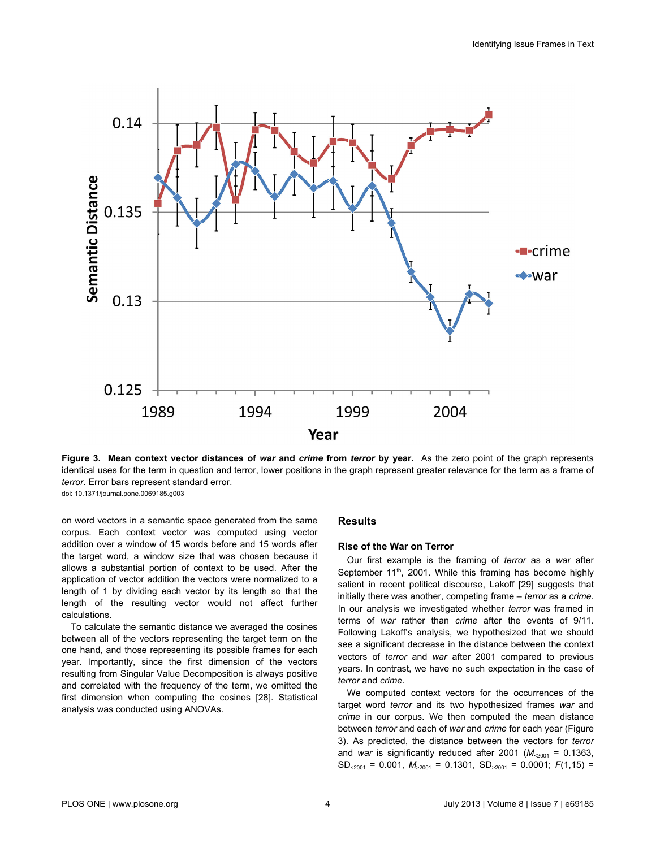

**Figure 3. Mean context vector distances of** *war* **and** *crime* **from** *terror* **by year.** As the zero point of the graph represents identical uses for the term in question and terror, lower positions in the graph represent greater relevance for the term as a frame of *terror*. Error bars represent standard error. doi: 10.1371/journal.pone.0069185.g003

on word vectors in a semantic space generated from the same corpus. Each context vector was computed using vector addition over a window of 15 words before and 15 words after the target word, a window size that was chosen because it allows a substantial portion of context to be used. After the application of vector addition the vectors were normalized to a length of 1 by dividing each vector by its length so that the length of the resulting vector would not affect further calculations.

To calculate the semantic distance we averaged the cosines between all of the vectors representing the target term on the one hand, and those representing its possible frames for each year. Importantly, since the first dimension of the vectors resulting from Singular Value Decomposition is always positive and correlated with the frequency of the term, we omitted the first dimension when computing the cosines [\[28\]](#page-8-0). Statistical analysis was conducted using ANOVAs.

## **Results**

## **Rise of the War on Terror**

Our first example is the framing of *terror* as a *war* after September 11<sup>th</sup>, 2001. While this framing has become highly salient in recent political discourse, Lakoff [[29\]](#page-8-0) suggests that initially there was another, competing frame – *terror* as a *crime*. In our analysis we investigated whether *terror* was framed in terms of *war* rather than *crime* after the events of 9/11. Following Lakoff's analysis, we hypothesized that we should see a significant decrease in the distance between the context vectors of *terror* and *war* after 2001 compared to previous years. In contrast, we have no such expectation in the case of *terror* and *crime*.

We computed context vectors for the occurrences of the target word *terror* and its two hypothesized frames *war* and *crime* in our corpus. We then computed the mean distance between *terror* and each of *war* and *crime* for each year (Figure 3). As predicted, the distance between the vectors for *terror* and *war* is significantly reduced after 2001 ( $M_{\leq 2001} = 0.1363$ , SD<2001 = 0.001, *M*>2001 = 0.1301, SD>2001 = 0.0001; *F*(1,15) =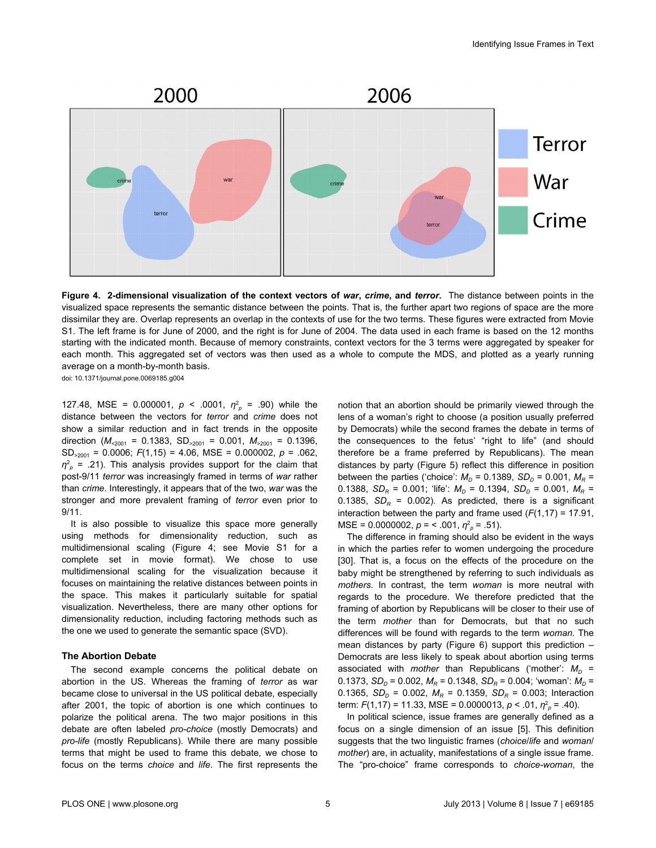

**Figure 4. 2-dimensional visualization of the context vectors of** *war***,** *crime***, and** *terror***.** The distance between points in the visualized space represents the semantic distance between the points. That is, the further apart two regions of space are the more dissimilar they are. Overlap represents an overlap in the contexts of use for the two terms. These figures were extracted from Movie S1. The left frame is for June of 2000, and the right is for June of 2004. The data used in each frame is based on the 12 months starting with the indicated month. Because of memory constraints, context vectors for the 3 terms were aggregated by speaker for each month. This aggregated set of vectors was then used as a whole to compute the MDS, and plotted as a yearly running average on a month-by-month basis.

doi: 10.1371/journal.pone.0069185.g004

127.48, MSE = 0.000001,  $p < .0001$ ,  $\eta^2$  = .90) while the distance between the vectors for *terror* and *crime* does not show a similar reduction and in fact trends in the opposite direction ( $M_{\leq 2001}$  = 0.1383, SD<sub>>2001</sub> = 0.001,  $M_{\leq 2001}$  = 0.1396, SD>2001 = 0.0006; *F*(1,15) = 4.06, MSE = 0.000002, *p* = .062, *η* 2 *p* = .21). This analysis provides support for the claim that post-9/11 *terror* was increasingly framed in terms of *war* rather than *crime*. Interestingly, it appears that of the two, *war* was the stronger and more prevalent framing of *terror* even prior to 9/11.

It is also possible to visualize this space more generally using methods for dimensionality reduction, such as multidimensional scaling (Figure 4; see Movie S1 for a complete set in movie format). We chose to use multidimensional scaling for the visualization because it focuses on maintaining the relative distances between points in the space. This makes it particularly suitable for spatial visualization. Nevertheless, there are many other options for dimensionality reduction, including factoring methods such as the one we used to generate the semantic space (SVD).

## **The Abortion Debate**

The second example concerns the political debate on abortion in the US. Whereas the framing of *terror* as war became close to universal in the US political debate, especially after 2001, the topic of abortion is one which continues to polarize the political arena. The two major positions in this debate are often labeled *pro-choice* (mostly Democrats) and *pro-life* (mostly Republicans). While there are many possible terms that might be used to frame this debate, we chose to focus on the terms *choice* and *life*. The first represents the

notion that an abortion should be primarily viewed through the lens of a woman's right to choose (a position usually preferred by Democrats) while the second frames the debate in terms of the consequences to the fetus' "right to life" (and should therefore be a frame preferred by Republicans). The mean distances by party [\(Figure 5\)](#page-5-0) reflect this difference in position between the parties ('choice':  $M_D = 0.1389$ ,  $SD_D = 0.001$ ,  $M_R =$ 0.1388,  $SD_R = 0.001$ ; 'life':  $M_D = 0.1394$ ,  $SD_D = 0.001$ ,  $M_R =$ 0.1385,  $SD_R = 0.002$ ). As predicted, there is a significant interaction between the party and frame used  $(F(1,17) = 17.91,$ MSE = 0.0000002, *p* = < .001, *η* 2 *p* = .51).

The difference in framing should also be evident in the ways in which the parties refer to women undergoing the procedure [[30](#page-8-0)]. That is, a focus on the effects of the procedure on the baby might be strengthened by referring to such individuals as *mothers*. In contrast, the term *woman* is more neutral with regards to the procedure. We therefore predicted that the framing of abortion by Republicans will be closer to their use of the term *mother* than for Democrats, but that no such differences will be found with regards to the term *woman*. The mean distances by party [\(Figure 6\)](#page-6-0) support this prediction – Democrats are less likely to speak about abortion using terms associated with *mother* than Republicans ('mother':  $M_D$  = 0.1373,  $SD<sub>D</sub>$  = 0.002,  $M<sub>R</sub>$  = 0.1348,  $SD<sub>R</sub>$  = 0.004; 'woman':  $M<sub>D</sub>$  = 0.1365,  $SD<sub>D</sub>$  = 0.002,  $M<sub>R</sub>$  = 0.1359,  $SD<sub>R</sub>$  = 0.003; Interaction term: *F*(1,17) = 11.33, MSE = 0.0000013, *p* < .01, *η* 2 *p* = .40).

In political science, issue frames are generally defined as a focus on a single dimension of an issue [[5\]](#page-8-0). This definition suggests that the two linguistic frames (*choice*/*life* and *woman*/ *mother*) are, in actuality, manifestations of a single issue frame. The "pro-choice" frame corresponds to *choice-woman*, the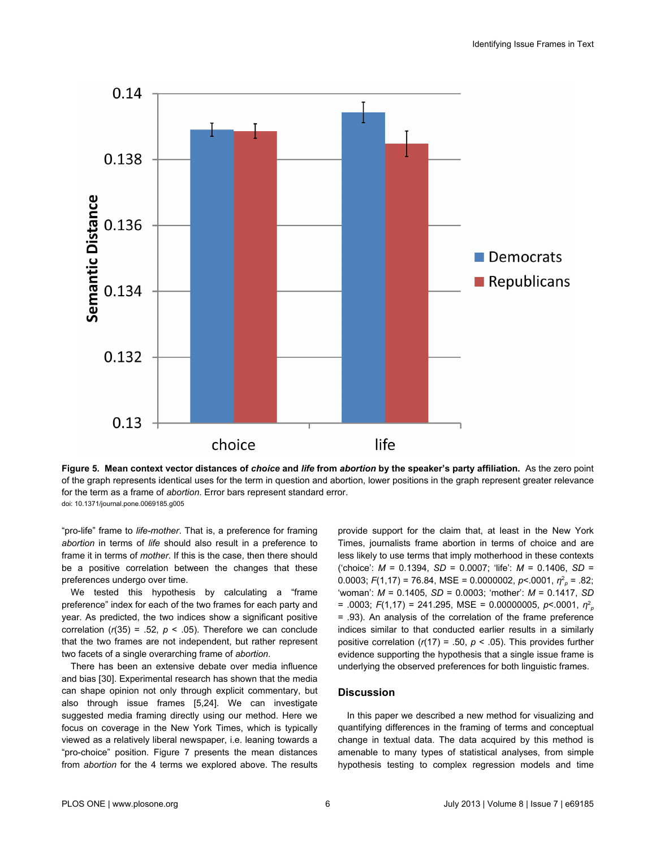<span id="page-5-0"></span>

**Figure 5. Mean context vector distances of** *choice* **and** *life* **from** *abortion* **by the speaker's party affiliation.** As the zero point of the graph represents identical uses for the term in question and abortion, lower positions in the graph represent greater relevance for the term as a frame of *abortion*. Error bars represent standard error. doi: 10.1371/journal.pone.0069185.g005

"pro-life" frame to *life-mother*. That is, a preference for framing *abortion* in terms of *life* should also result in a preference to frame it in terms of *mother*. If this is the case, then there should be a positive correlation between the changes that these preferences undergo over time.

We tested this hypothesis by calculating a "frame preference" index for each of the two frames for each party and year. As predicted, the two indices show a significant positive correlation  $(r(35) = .52, p < .05)$ . Therefore we can conclude that the two frames are not independent, but rather represent two facets of a single overarching frame of *abortion*.

There has been an extensive debate over media influence and bias [[30](#page-8-0)]. Experimental research has shown that the media can shape opinion not only through explicit commentary, but also through issue frames [\[5,24\]](#page-8-0). We can investigate suggested media framing directly using our method. Here we focus on coverage in the New York Times, which is typically viewed as a relatively liberal newspaper, i.e. leaning towards a "pro-choice" position. [Figure 7](#page-7-0) presents the mean distances from *abortion* for the 4 terms we explored above. The results

provide support for the claim that, at least in the New York Times, journalists frame abortion in terms of choice and are less likely to use terms that imply motherhood in these contexts ('choice': *M* = 0.1394, *SD* = 0.0007; 'life': *M* = 0.1406, *SD* = 0.0003; *F*(1,17) = 76.84, MSE = 0.0000002, *p*<.0001, *η* 2 *p* = .82; 'woman': *M* = 0.1405, *SD* = 0.0003; 'mother': *M* = 0.1417, *SD* = .0003; *F*(1,17) = 241.295, MSE = 0.00000005, *p*<.0001, *η* 2 *p* = .93). An analysis of the correlation of the frame preference indices similar to that conducted earlier results in a similarly positive correlation  $(r(17) = .50, p < .05)$ . This provides further evidence supporting the hypothesis that a single issue frame is underlying the observed preferences for both linguistic frames.

## **Discussion**

In this paper we described a new method for visualizing and quantifying differences in the framing of terms and conceptual change in textual data. The data acquired by this method is amenable to many types of statistical analyses, from simple hypothesis testing to complex regression models and time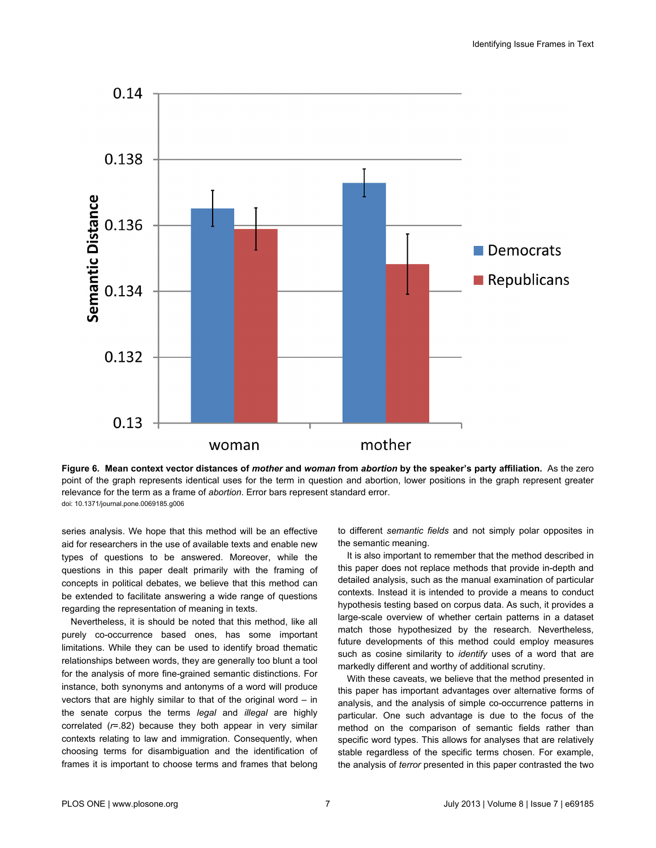<span id="page-6-0"></span>

**Figure 6. Mean context vector distances of** *mother* **and** *woman* **from** *abortion* **by the speaker's party affiliation.** As the zero point of the graph represents identical uses for the term in question and abortion, lower positions in the graph represent greater relevance for the term as a frame of *abortion*. Error bars represent standard error. doi: 10.1371/journal.pone.0069185.g006

series analysis. We hope that this method will be an effective aid for researchers in the use of available texts and enable new types of questions to be answered. Moreover, while the questions in this paper dealt primarily with the framing of concepts in political debates, we believe that this method can be extended to facilitate answering a wide range of questions regarding the representation of meaning in texts.

Nevertheless, it is should be noted that this method, like all purely co-occurrence based ones, has some important limitations. While they can be used to identify broad thematic relationships between words, they are generally too blunt a tool for the analysis of more fine-grained semantic distinctions. For instance, both synonyms and antonyms of a word will produce vectors that are highly similar to that of the original word – in the senate corpus the terms *legal* and *illegal* are highly correlated (*r*=.82) because they both appear in very similar contexts relating to law and immigration. Consequently, when choosing terms for disambiguation and the identification of frames it is important to choose terms and frames that belong

to different *semantic fields* and not simply polar opposites in the semantic meaning.

It is also important to remember that the method described in this paper does not replace methods that provide in-depth and detailed analysis, such as the manual examination of particular contexts. Instead it is intended to provide a means to conduct hypothesis testing based on corpus data. As such, it provides a large-scale overview of whether certain patterns in a dataset match those hypothesized by the research. Nevertheless, future developments of this method could employ measures such as cosine similarity to *identify* uses of a word that are markedly different and worthy of additional scrutiny.

With these caveats, we believe that the method presented in this paper has important advantages over alternative forms of analysis, and the analysis of simple co-occurrence patterns in particular. One such advantage is due to the focus of the method on the comparison of semantic fields rather than specific word types. This allows for analyses that are relatively stable regardless of the specific terms chosen. For example, the analysis of *terror* presented in this paper contrasted the two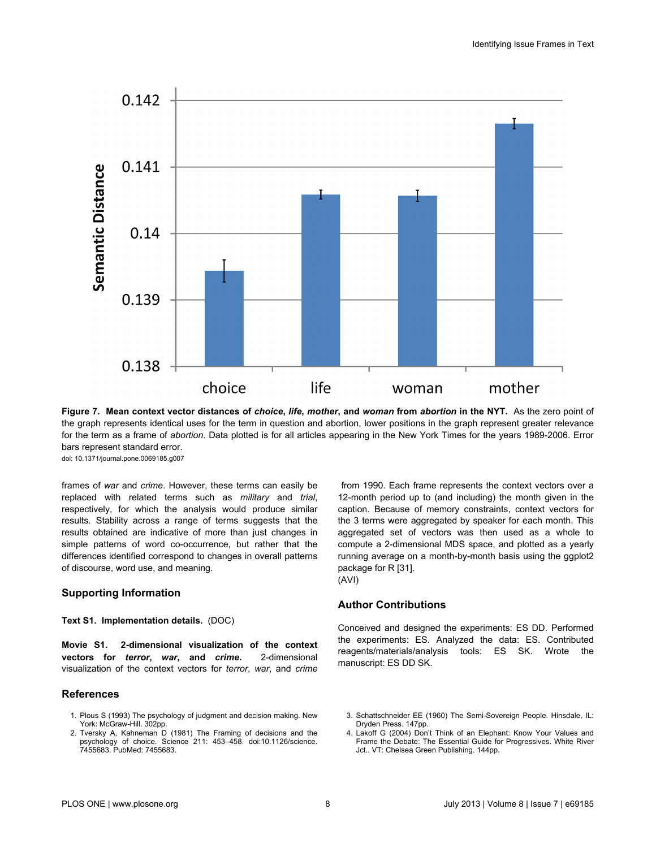<span id="page-7-0"></span>

**Figure 7. Mean context vector distances of** *choice***,** *life***,** *mother***, and** *woman* **from** *abortion* **in the NYT.** As the zero point of the graph represents identical uses for the term in question and abortion, lower positions in the graph represent greater relevance for the term as a frame of *abortion*. Data plotted is for all articles appearing in the New York Times for the years 1989-2006. Error bars represent standard error.

doi: 10.1371/journal.pone.0069185.g007

frames of *war* and *crime*. However, these terms can easily be replaced with related terms such as *military* and *trial*, respectively, for which the analysis would produce similar results. Stability across a range of terms suggests that the results obtained are indicative of more than just changes in simple patterns of word co-occurrence, but rather that the differences identified correspond to changes in overall patterns of discourse, word use, and meaning.

## **Supporting Information**

## **Text S1. Implementation details.** (DOC)

**Movie S1. 2-dimensional visualization of the context vectors for** *terror***,** *war***, and** *crime***.** 2-dimensional visualization of the context vectors for *terror*, *war*, and *crime*

#### **References**

- 1. Plous S (1993) The psychology of judgment and decision making. New York: McGraw-Hill. 302pp.
- 2. Tversky A, Kahneman D (1981) The Framing of decisions and the psychology of choice. Science 211: 453–458. doi:[10.1126/science.](http://dx.doi.org/10.1126/science.7455683) [7455683.](http://dx.doi.org/10.1126/science.7455683) PubMed: [7455683.](http://www.ncbi.nlm.nih.gov/pubmed/7455683)

 from 1990. Each frame represents the context vectors over a 12-month period up to (and including) the month given in the caption. Because of memory constraints, context vectors for the 3 terms were aggregated by speaker for each month. This aggregated set of vectors was then used as a whole to compute a 2-dimensional MDS space, and plotted as a yearly running average on a month-by-month basis using the ggplot2 package for R [\[31\]](#page-8-0).

(AVI)

#### **Author Contributions**

Conceived and designed the experiments: ES DD. Performed the experiments: ES. Analyzed the data: ES. Contributed reagents/materials/analysis tools: ES SK. Wrote the manuscript: ES DD SK.

<sup>3.</sup> Schattschneider EE (1960) The Semi-Sovereign People. Hinsdale, IL: Dryden Press. 147pp.

<sup>4.</sup> Lakoff G (2004) Don't Think of an Elephant: Know Your Values and Frame the Debate: The Essential Guide for Progressives. White River Jct.. VT: Chelsea Green Publishing. 144pp.